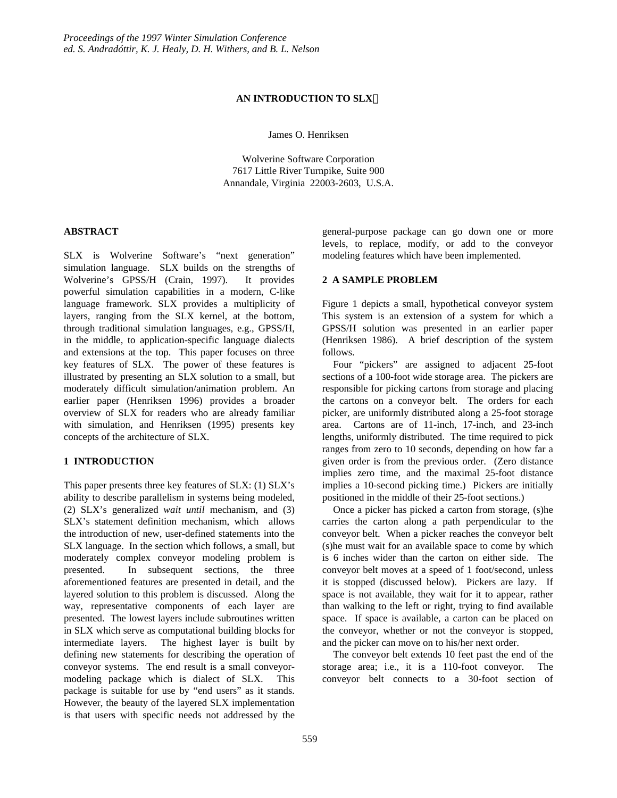## **AN INTRODUCTION TO SLX**

James O. Henriksen

Wolverine Software Corporation 7617 Little River Turnpike, Suite 900 Annandale, Virginia 22003-2603, U.S.A.

# **ABSTRACT**

SLX is Wolverine Software's "next generation" simulation language. SLX builds on the strengths of Wolverine's GPSS/H (Crain, 1997). It provides powerful simulation capabilities in a modern, C-like language framework. SLX provides a multiplicity of layers, ranging from the SLX kernel, at the bottom, through traditional simulation languages, e.g., GPSS/H, in the middle, to application-specific language dialects and extensions at the top. This paper focuses on three key features of SLX. The power of these features is illustrated by presenting an SLX solution to a small, but moderately difficult simulation/animation problem. An earlier paper (Henriksen 1996) provides a broader overview of SLX for readers who are already familiar with simulation, and Henriksen (1995) presents key concepts of the architecture of SLX.

## **1 INTRODUCTION**

This paper presents three key features of SLX: (1) SLX's ability to describe parallelism in systems being modeled, (2) SLX's generalized *wait until* mechanism, and (3) SLX's statement definition mechanism, which allows the introduction of new, user-defined statements into the SLX language. In the section which follows, a small, but moderately complex conveyor modeling problem is presented. In subsequent sections, the three aforementioned features are presented in detail, and the layered solution to this problem is discussed. Along the way, representative components of each layer are presented. The lowest layers include subroutines written in SLX which serve as computational building blocks for intermediate layers. The highest layer is built by defining new statements for describing the operation of conveyor systems. The end result is a small conveyormodeling package which is dialect of SLX. This package is suitable for use by "end users" as it stands. However, the beauty of the layered SLX implementation is that users with specific needs not addressed by the

general-purpose package can go down one or more levels, to replace, modify, or add to the conveyor modeling features which have been implemented.

## **2 A SAMPLE PROBLEM**

Figure 1 depicts a small, hypothetical conveyor system This system is an extension of a system for which a GPSS/H solution was presented in an earlier paper (Henriksen 1986). A brief description of the system follows.

Four "pickers" are assigned to adjacent 25-foot sections of a 100-foot wide storage area. The pickers are responsible for picking cartons from storage and placing the cartons on a conveyor belt. The orders for each picker, are uniformly distributed along a 25-foot storage area. Cartons are of 11-inch, 17-inch, and 23-inch lengths, uniformly distributed. The time required to pick ranges from zero to 10 seconds, depending on how far a given order is from the previous order. (Zero distance implies zero time, and the maximal 25-foot distance implies a 10-second picking time.) Pickers are initially positioned in the middle of their 25-foot sections.)

Once a picker has picked a carton from storage, (s)he carries the carton along a path perpendicular to the conveyor belt. When a picker reaches the conveyor belt (s)he must wait for an available space to come by which is 6 inches wider than the carton on either side. The conveyor belt moves at a speed of 1 foot/second, unless it is stopped (discussed below). Pickers are lazy. If space is not available, they wait for it to appear, rather than walking to the left or right, trying to find available space. If space is available, a carton can be placed on the conveyor, whether or not the conveyor is stopped, and the picker can move on to his/her next order.

The conveyor belt extends 10 feet past the end of the storage area; i.e., it is a 110-foot conveyor. The conveyor belt connects to a 30-foot section of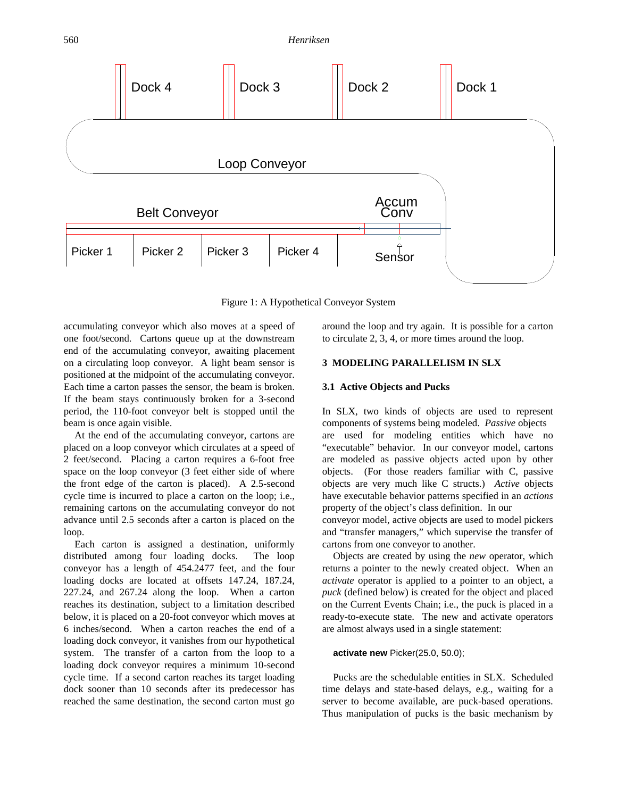

Figure 1: A Hypothetical Conveyor System

accumulating conveyor which also moves at a speed of one foot/second. Cartons queue up at the downstream end of the accumulating conveyor, awaiting placement on a circulating loop conveyor. A light beam sensor is positioned at the midpoint of the accumulating conveyor. Each time a carton passes the sensor, the beam is broken. If the beam stays continuously broken for a 3-second period, the 110-foot conveyor belt is stopped until the beam is once again visible.

At the end of the accumulating conveyor, cartons are placed on a loop conveyor which circulates at a speed of 2 feet/second. Placing a carton requires a 6-foot free space on the loop conveyor (3 feet either side of where the front edge of the carton is placed). A 2.5-second cycle time is incurred to place a carton on the loop; i.e., remaining cartons on the accumulating conveyor do not advance until 2.5 seconds after a carton is placed on the loop.

Each carton is assigned a destination, uniformly distributed among four loading docks. The loop conveyor has a length of 454.2477 feet, and the four loading docks are located at offsets 147.24, 187.24, 227.24, and 267.24 along the loop. When a carton reaches its destination, subject to a limitation described below, it is placed on a 20-foot conveyor which moves at 6 inches/second. When a carton reaches the end of a loading dock conveyor, it vanishes from our hypothetical system. The transfer of a carton from the loop to a loading dock conveyor requires a minimum 10-second cycle time. If a second carton reaches its target loading dock sooner than 10 seconds after its predecessor has reached the same destination, the second carton must go around the loop and try again. It is possible for a carton to circulate 2, 3, 4, or more times around the loop.

#### **3 MODELING PARALLELISM IN SLX**

#### **3.1 Active Objects and Pucks**

In SLX, two kinds of objects are used to represent components of systems being modeled. *Passive* objects are used for modeling entities which have no "executable" behavior. In our conveyor model, cartons are modeled as passive objects acted upon by other objects. (For those readers familiar with C, passive objects are very much like C structs.) *Active* objects have executable behavior patterns specified in an *actions* property of the object's class definition. In our conveyor model, active objects are used to model pickers and "transfer managers," which supervise the transfer of cartons from one conveyor to another.

Objects are created by using the *new* operator, which returns a pointer to the newly created object. When an *activate* operator is applied to a pointer to an object, a *puck* (defined below) is created for the object and placed on the Current Events Chain; i.e., the puck is placed in a ready-to-execute state. The new and activate operators are almost always used in a single statement:

#### **activate new** Picker(25.0, 50.0);

Pucks are the schedulable entities in SLX. Scheduled time delays and state-based delays, e.g., waiting for a server to become available, are puck-based operations. Thus manipulation of pucks is the basic mechanism by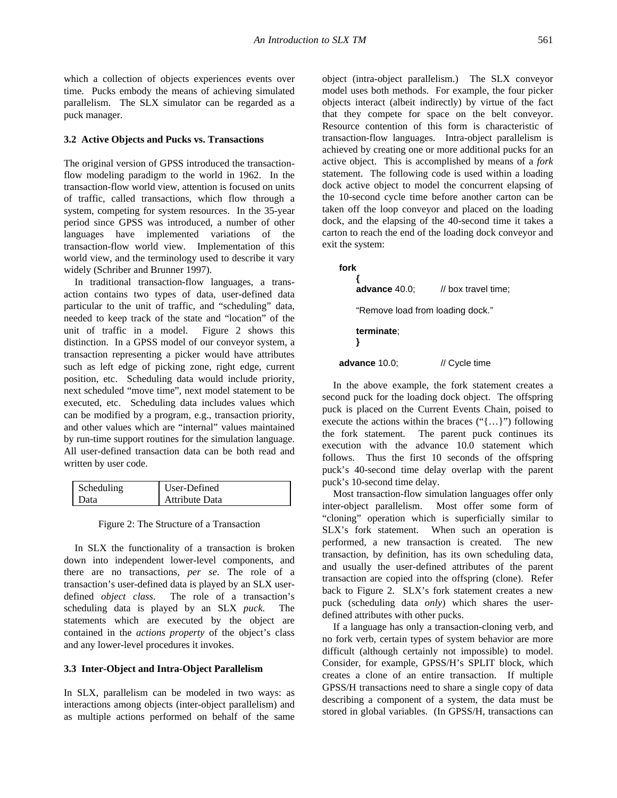which a collection of objects experiences events over time. Pucks embody the means of achieving simulated parallelism. The SLX simulator can be regarded as a puck manager.

#### **3.2 Active Objects and Pucks vs. Transactions**

The original version of GPSS introduced the transactionflow modeling paradigm to the world in 1962. In the transaction-flow world view, attention is focused on units of traffic, called transactions, which flow through a system, competing for system resources. In the 35-year period since GPSS was introduced, a number of other languages have implemented variations of the transaction-flow world view. Implementation of this world view, and the terminology used to describe it vary widely (Schriber and Brunner 1997).

In traditional transaction-flow languages, a transaction contains two types of data, user-defined data particular to the unit of traffic, and "scheduling" data, needed to keep track of the state and "location" of the unit of traffic in a model. Figure 2 shows this distinction. In a GPSS model of our conveyor system, a transaction representing a picker would have attributes such as left edge of picking zone, right edge, current position, etc. Scheduling data would include priority, next scheduled "move time", next model statement to be executed, etc. Scheduling data includes values which can be modified by a program, e.g., transaction priority, and other values which are "internal" values maintained by run-time support routines for the simulation language. All user-defined transaction data can be both read and written by user code.

| Scheduling | User-Defined   |
|------------|----------------|
| Data       | Attribute Data |

Figure 2: The Structure of a Transaction

In SLX the functionality of a transaction is broken down into independent lower-level components, and there are no transactions, *per se*. The role of a transaction's user-defined data is played by an SLX userdefined *object class*. The role of a transaction's scheduling data is played by an SLX *puck.* The statements which are executed by the object are contained in the *actions property* of the object's class and any lower-level procedures it invokes.

#### **3.3 Inter-Object and Intra-Object Parallelism**

In SLX, parallelism can be modeled in two ways: as interactions among objects (inter-object parallelism) and as multiple actions performed on behalf of the same

object (intra-object parallelism.) The SLX conveyor model uses both methods. For example, the four picker objects interact (albeit indirectly) by virtue of the fact that they compete for space on the belt conveyor. Resource contention of this form is characteristic of transaction-flow languages. Intra-object parallelism is achieved by creating one or more additional pucks for an active object. This is accomplished by means of a *fork* statement. The following code is used within a loading dock active object to model the concurrent elapsing of the 10-second cycle time before another carton can be taken off the loop conveyor and placed on the loading dock, and the elapsing of the 40-second time it takes a carton to reach the end of the loading dock conveyor and exit the system:

**fork**

**{ advance** 40.0; // box travel time; "Remove load from loading dock." **terminate**; **} advance** 10.0; // Cycle time

In the above example, the fork statement creates a second puck for the loading dock object. The offspring puck is placed on the Current Events Chain, poised to execute the actions within the braces ("{…}") following the fork statement. The parent puck continues its execution with the advance 10.0 statement which follows. Thus the first 10 seconds of the offspring puck's 40-second time delay overlap with the parent puck's 10-second time delay.

Most transaction-flow simulation languages offer only inter-object parallelism. Most offer some form of "cloning" operation which is superficially similar to SLX's fork statement. When such an operation is performed, a new transaction is created. The new transaction, by definition, has its own scheduling data, and usually the user-defined attributes of the parent transaction are copied into the offspring (clone). Refer back to Figure 2. SLX's fork statement creates a new puck (scheduling data *only*) which shares the userdefined attributes with other pucks.

If a language has only a transaction-cloning verb, and no fork verb, certain types of system behavior are more difficult (although certainly not impossible) to model. Consider, for example, GPSS/H's SPLIT block, which creates a clone of an entire transaction. If multiple GPSS/H transactions need to share a single copy of data describing a component of a system, the data must be stored in global variables. (In GPSS/H, transactions can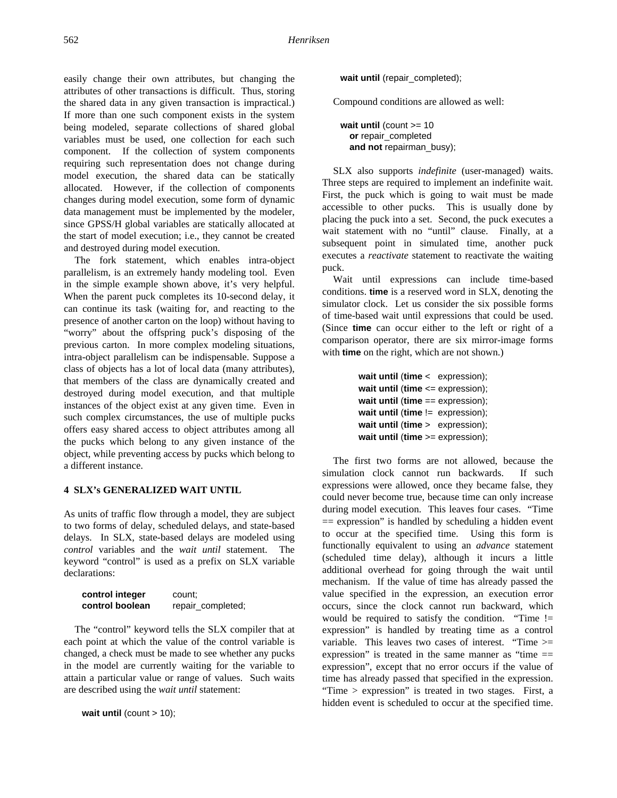easily change their own attributes, but changing the attributes of other transactions is difficult. Thus, storing the shared data in any given transaction is impractical.) If more than one such component exists in the system being modeled, separate collections of shared global variables must be used, one collection for each such component. If the collection of system components requiring such representation does not change during model execution, the shared data can be statically allocated. However, if the collection of components changes during model execution, some form of dynamic data management must be implemented by the modeler, since GPSS/H global variables are statically allocated at the start of model execution; i.e., they cannot be created and destroyed during model execution.

The fork statement, which enables intra-object parallelism, is an extremely handy modeling tool. Even in the simple example shown above, it's very helpful. When the parent puck completes its 10-second delay, it can continue its task (waiting for, and reacting to the presence of another carton on the loop) without having to "worry" about the offspring puck's disposing of the previous carton. In more complex modeling situations, intra-object parallelism can be indispensable. Suppose a class of objects has a lot of local data (many attributes), that members of the class are dynamically created and destroyed during model execution, and that multiple instances of the object exist at any given time. Even in such complex circumstances, the use of multiple pucks offers easy shared access to object attributes among all the pucks which belong to any given instance of the object, while preventing access by pucks which belong to a different instance.

# **4 SLX's GENERALIZED WAIT UNTIL**

As units of traffic flow through a model, they are subject to two forms of delay, scheduled delays, and state-based delays. In SLX, state-based delays are modeled using *control* variables and the *wait until* statement. The keyword "control" is used as a prefix on SLX variable declarations:

| control integer | count:            |
|-----------------|-------------------|
| control boolean | repair_completed; |

The "control" keyword tells the SLX compiler that at each point at which the value of the control variable is changed, a check must be made to see whether any pucks in the model are currently waiting for the variable to attain a particular value or range of values. Such waits are described using the *wait until* statement:

**wait until** (count > 10);

**wait until** (repair\_completed);

Compound conditions are allowed as well:

**wait until** (count  $>= 10$ **or** repair\_completed **and not** repairman\_busy);

SLX also supports *indefinite* (user-managed) waits. Three steps are required to implement an indefinite wait. First, the puck which is going to wait must be made accessible to other pucks. This is usually done by placing the puck into a set. Second, the puck executes a wait statement with no "until" clause. Finally, at a subsequent point in simulated time, another puck executes a *reactivate* statement to reactivate the waiting puck.

Wait until expressions can include time-based conditions. **time** is a reserved word in SLX, denoting the simulator clock. Let us consider the six possible forms of time-based wait until expressions that could be used. (Since **time** can occur either to the left or right of a comparison operator, there are six mirror-image forms with **time** on the right, which are not shown.)

```
wait until (time < expression);
wait until (time <= expression);
wait until (time == expression);
wait until (time != expression);
wait until (time > expression);
wait until (time >= expression);
```
The first two forms are not allowed, because the simulation clock cannot run backwards. If such expressions were allowed, once they became false, they could never become true, because time can only increase during model execution. This leaves four cases. "Time  $=$  expression" is handled by scheduling a hidden event to occur at the specified time. Using this form is functionally equivalent to using an *advance* statement (scheduled time delay), although it incurs a little additional overhead for going through the wait until mechanism. If the value of time has already passed the value specified in the expression, an execution error occurs, since the clock cannot run backward, which would be required to satisfy the condition. "Time != expression" is handled by treating time as a control variable. This leaves two cases of interest. "Time >= expression" is treated in the same manner as "time  $=$ expression", except that no error occurs if the value of time has already passed that specified in the expression. "Time > expression" is treated in two stages. First, a hidden event is scheduled to occur at the specified time.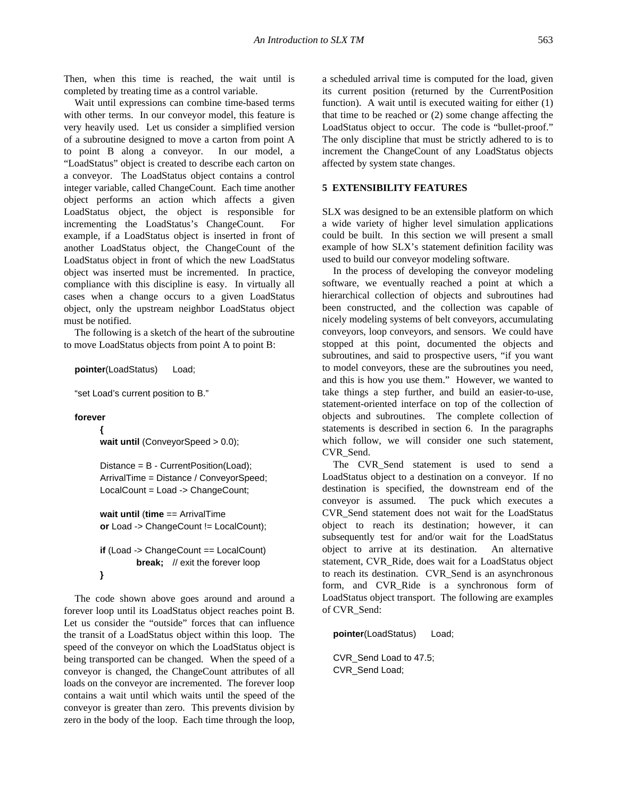Then, when this time is reached, the wait until is completed by treating time as a control variable.

Wait until expressions can combine time-based terms with other terms. In our conveyor model, this feature is very heavily used. Let us consider a simplified version of a subroutine designed to move a carton from point A to point B along a conveyor. In our model, a "LoadStatus" object is created to describe each carton on a conveyor. The LoadStatus object contains a control integer variable, called ChangeCount. Each time another object performs an action which affects a given LoadStatus object, the object is responsible for incrementing the LoadStatus's ChangeCount. For example, if a LoadStatus object is inserted in front of another LoadStatus object, the ChangeCount of the LoadStatus object in front of which the new LoadStatus object was inserted must be incremented. In practice, compliance with this discipline is easy. In virtually all cases when a change occurs to a given LoadStatus object, only the upstream neighbor LoadStatus object must be notified.

The following is a sketch of the heart of the subroutine to move LoadStatus objects from point A to point B:

**pointer**(LoadStatus) Load;

"set Load's current position to B."

#### **forever**

**{**

wait until (ConveyorSpeed > 0.0);

Distance = B - CurrentPosition(Load); ArrivalTime = Distance / ConveyorSpeed; LocalCount = Load -> ChangeCount;

**wait until** (**time** == ArrivalTime **or** Load -> ChangeCount != LocalCount);

```
if (Load -> ChangeCount == LocalCount)
        break; // exit the forever loop
}
```
The code shown above goes around and around a forever loop until its LoadStatus object reaches point B. Let us consider the "outside" forces that can influence the transit of a LoadStatus object within this loop. The speed of the conveyor on which the LoadStatus object is being transported can be changed. When the speed of a conveyor is changed, the ChangeCount attributes of all loads on the conveyor are incremented. The forever loop contains a wait until which waits until the speed of the conveyor is greater than zero. This prevents division by zero in the body of the loop. Each time through the loop,

a scheduled arrival time is computed for the load, given its current position (returned by the CurrentPosition function). A wait until is executed waiting for either (1) that time to be reached or (2) some change affecting the LoadStatus object to occur. The code is "bullet-proof." The only discipline that must be strictly adhered to is to increment the ChangeCount of any LoadStatus objects affected by system state changes.

## **5 EXTENSIBILITY FEATURES**

SLX was designed to be an extensible platform on which a wide variety of higher level simulation applications could be built. In this section we will present a small example of how SLX's statement definition facility was used to build our conveyor modeling software.

In the process of developing the conveyor modeling software, we eventually reached a point at which a hierarchical collection of objects and subroutines had been constructed, and the collection was capable of nicely modeling systems of belt conveyors, accumulating conveyors, loop conveyors, and sensors. We could have stopped at this point, documented the objects and subroutines, and said to prospective users, "if you want to model conveyors, these are the subroutines you need, and this is how you use them." However, we wanted to take things a step further, and build an easier-to-use, statement-oriented interface on top of the collection of objects and subroutines. The complete collection of statements is described in section 6. In the paragraphs which follow, we will consider one such statement, CVR\_Send.

The CVR\_Send statement is used to send a LoadStatus object to a destination on a conveyor. If no destination is specified, the downstream end of the conveyor is assumed. The puck which executes a CVR\_Send statement does not wait for the LoadStatus object to reach its destination; however, it can subsequently test for and/or wait for the LoadStatus object to arrive at its destination. An alternative statement, CVR\_Ride, does wait for a LoadStatus object to reach its destination. CVR\_Send is an asynchronous form, and CVR\_Ride is a synchronous form of LoadStatus object transport. The following are examples of CVR\_Send:

**pointer**(LoadStatus) Load;

CVR\_Send Load to 47.5; CVR\_Send Load;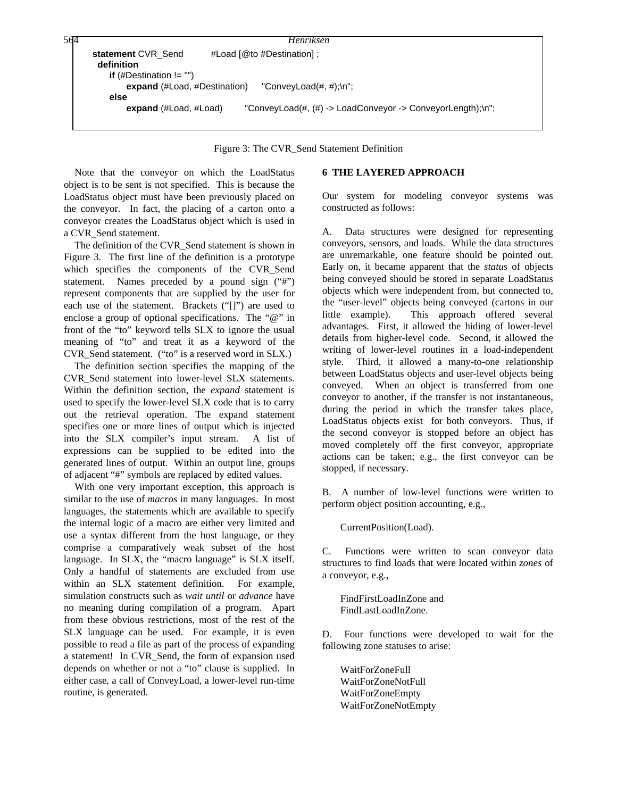```
statement CVR Send #Load [@to #Destination] ;
       definition
        if (#Destination != "")
           expand (#Load, #Destination) "ConveyLoad(#, #);\n";
        else
           expand (#Load, #Load) "ConveyLoad(#, (#) -> LoadConveyor -> ConveyorLength);\n";
564 Henriksen
```
Figure 3: The CVR\_Send Statement Definition

Note that the conveyor on which the LoadStatus object is to be sent is not specified. This is because the LoadStatus object must have been previously placed on the conveyor. In fact, the placing of a carton onto a conveyor creates the LoadStatus object which is used in a CVR\_Send statement.

The definition of the CVR\_Send statement is shown in Figure 3. The first line of the definition is a prototype which specifies the components of the CVR\_Send statement. Names preceded by a pound sign ("#") represent components that are supplied by the user for each use of the statement. Brackets ("[]") are used to enclose a group of optional specifications. The "@" in front of the "to" keyword tells SLX to ignore the usual meaning of "to" and treat it as a keyword of the CVR\_Send statement. ("to" is a reserved word in SLX.)

The definition section specifies the mapping of the CVR\_Send statement into lower-level SLX statements. Within the definition section, the *expand* statement is used to specify the lower-level SLX code that is to carry out the retrieval operation. The expand statement specifies one or more lines of output which is injected into the SLX compiler's input stream. A list of expressions can be supplied to be edited into the generated lines of output. Within an output line, groups of adjacent "#" symbols are replaced by edited values.

With one very important exception, this approach is similar to the use of *macros* in many languages. In most languages, the statements which are available to specify the internal logic of a macro are either very limited and use a syntax different from the host language, or they comprise a comparatively weak subset of the host language. In SLX, the "macro language" is SLX itself. Only a handful of statements are excluded from use within an SLX statement definition. For example, simulation constructs such as *wait until* or *advance* have no meaning during compilation of a program. Apart from these obvious restrictions, most of the rest of the SLX language can be used. For example, it is even possible to read a file as part of the process of expanding a statement! In CVR\_Send, the form of expansion used depends on whether or not a "to" clause is supplied. In either case, a call of ConveyLoad, a lower-level run-time routine, is generated.

# **6 THE LAYERED APPROACH**

Our system for modeling conveyor systems was constructed as follows:

A. Data structures were designed for representing conveyors, sensors, and loads. While the data structures are unremarkable, one feature should be pointed out. Early on, it became apparent that the *status* of objects being conveyed should be stored in separate LoadStatus objects which were independent from, but connected to, the "user-level" objects being conveyed (cartons in our little example). This approach offered several advantages. First, it allowed the hiding of lower-level details from higher-level code. Second, it allowed the writing of lower-level routines in a load-independent style. Third, it allowed a many-to-one relationship between LoadStatus objects and user-level objects being conveyed. When an object is transferred from one conveyor to another, if the transfer is not instantaneous, during the period in which the transfer takes place, LoadStatus objects exist for both conveyors. Thus, if the second conveyor is stopped before an object has moved completely off the first conveyor, appropriate actions can be taken; e.g., the first conveyor can be stopped, if necessary.

B. A number of low-level functions were written to perform object position accounting, e.g.,

CurrentPosition(Load).

C. Functions were written to scan conveyor data structures to find loads that were located within *zones* of a conveyor, e.g.,

FindFirstLoadInZone and FindLastLoadInZone.

D. Four functions were developed to wait for the following zone statuses to arise:

WaitForZoneFull WaitForZoneNotFull WaitForZoneEmpty WaitForZoneNotEmpty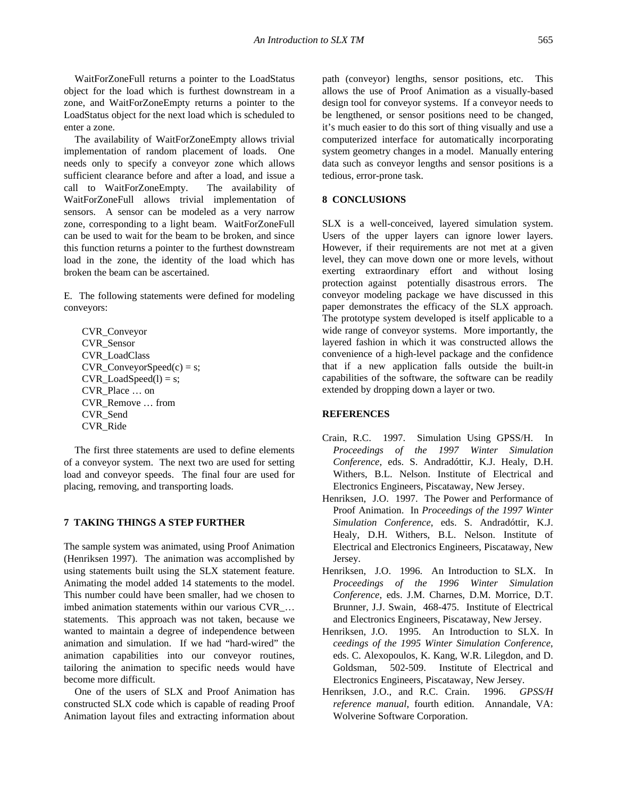WaitForZoneFull returns a pointer to the LoadStatus object for the load which is furthest downstream in a zone, and WaitForZoneEmpty returns a pointer to the LoadStatus object for the next load which is scheduled to enter a zone.

The availability of WaitForZoneEmpty allows trivial implementation of random placement of loads. One needs only to specify a conveyor zone which allows sufficient clearance before and after a load, and issue a call to WaitForZoneEmpty. The availability of WaitForZoneFull allows trivial implementation of sensors. A sensor can be modeled as a very narrow zone, corresponding to a light beam. WaitForZoneFull can be used to wait for the beam to be broken, and since this function returns a pointer to the furthest downstream load in the zone, the identity of the load which has broken the beam can be ascertained.

E. The following statements were defined for modeling conveyors:

CVR\_Conveyor CVR\_Sensor CVR\_LoadClass CVR ConveyorSpeed $(c) = s$ ;  $CVR$  LoadSpeed(l) = s; CVR\_Place … on CVR\_Remove … from CVR\_Send CVR\_Ride

The first three statements are used to define elements of a conveyor system. The next two are used for setting load and conveyor speeds. The final four are used for placing, removing, and transporting loads.

## **7 TAKING THINGS A STEP FURTHER**

The sample system was animated, using Proof Animation (Henriksen 1997). The animation was accomplished by using statements built using the SLX statement feature. Animating the model added 14 statements to the model. This number could have been smaller, had we chosen to imbed animation statements within our various CVR\_… statements. This approach was not taken, because we wanted to maintain a degree of independence between animation and simulation. If we had "hard-wired" the animation capabilities into our conveyor routines, tailoring the animation to specific needs would have become more difficult.

One of the users of SLX and Proof Animation has constructed SLX code which is capable of reading Proof Animation layout files and extracting information about path (conveyor) lengths, sensor positions, etc. This allows the use of Proof Animation as a visually-based design tool for conveyor systems. If a conveyor needs to be lengthened, or sensor positions need to be changed, it's much easier to do this sort of thing visually and use a computerized interface for automatically incorporating system geometry changes in a model. Manually entering data such as conveyor lengths and sensor positions is a tedious, error-prone task.

# **8 CONCLUSIONS**

SLX is a well-conceived, layered simulation system. Users of the upper layers can ignore lower layers. However, if their requirements are not met at a given level, they can move down one or more levels, without exerting extraordinary effort and without losing protection against potentially disastrous errors. The conveyor modeling package we have discussed in this paper demonstrates the efficacy of the SLX approach. The prototype system developed is itself applicable to a wide range of conveyor systems. More importantly, the layered fashion in which it was constructed allows the convenience of a high-level package and the confidence that if a new application falls outside the built-in capabilities of the software, the software can be readily extended by dropping down a layer or two.

## **REFERENCES**

- Crain, R.C. 1997. Simulation Using GPSS/H. In *Proceedings of the 1997 Winter Simulation Conference*, eds. S. Andradóttir, K.J. Healy, D.H. Withers, B.L. Nelson. Institute of Electrical and Electronics Engineers, Piscataway, New Jersey.
- Henriksen, J.O. 1997. The Power and Performance of Proof Animation. In *Proceedings of the 1997 Winter Simulation Conference*, eds. S. Andradóttir, K.J. Healy, D.H. Withers, B.L. Nelson. Institute of Electrical and Electronics Engineers, Piscataway, New Jersey.
- Henriksen, J.O. 1996. An Introduction to SLX. In *Proceedings of the 1996 Winter Simulation Conference*, eds. J.M. Charnes, D.M. Morrice, D.T. Brunner, J.J. Swain, 468-475. Institute of Electrical and Electronics Engineers, Piscataway, New Jersey.
- Henriksen, J.O. 1995. An Introduction to SLX. In *ceedings of the 1995 Winter Simulation Conference*, eds. C. Alexopoulos, K. Kang, W.R. Lilegdon, and D. Goldsman, 502-509. Institute of Electrical and Electronics Engineers, Piscataway, New Jersey.
- Henriksen, J.O., and R.C. Crain. 1996. *GPSS/H reference manual*, fourth edition. Annandale, VA: Wolverine Software Corporation.